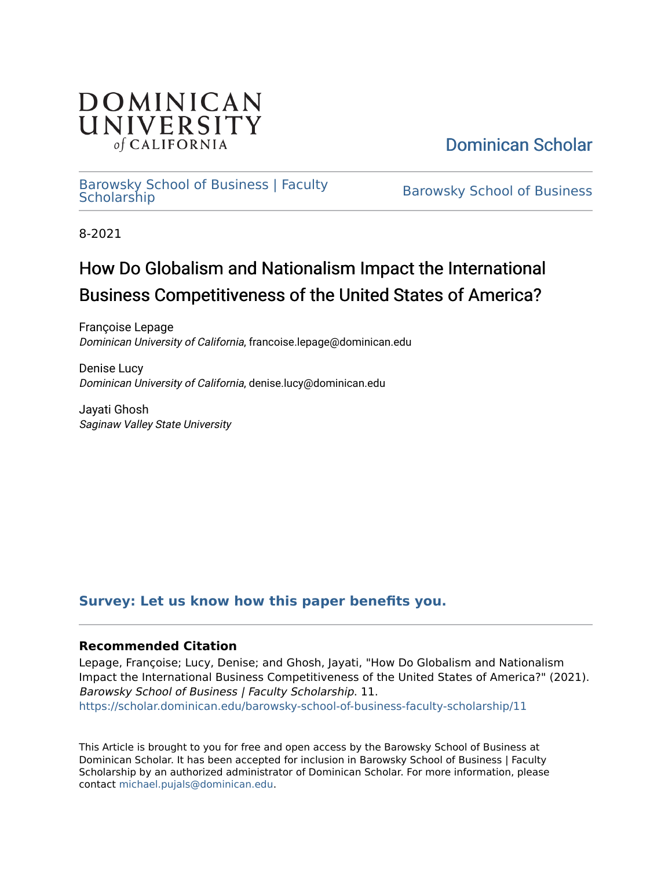

[Dominican Scholar](https://scholar.dominican.edu/) 

## [Barowsky School of Business | Faculty](https://scholar.dominican.edu/barowsky-school-of-business-faculty-scholarship) [Barowsky School of Business](https://scholar.dominican.edu/barowsky-school-of-business) | Faculty Barowsky School of Business<br>Scholarship

8-2021

# How Do Globalism and Nationalism Impact the International Business Competitiveness of the United States of America?

Françoise Lepage Dominican University of California, francoise.lepage@dominican.edu

Denise Lucy Dominican University of California, denise.lucy@dominican.edu

Jayati Ghosh Saginaw Valley State University

## **[Survey: Let us know how this paper benefits you.](https://dominican.libwizard.com/dominican-scholar-feedback)**

## **Recommended Citation**

Lepage, Françoise; Lucy, Denise; and Ghosh, Jayati, "How Do Globalism and Nationalism Impact the International Business Competitiveness of the United States of America?" (2021). Barowsky School of Business | Faculty Scholarship. 11. [https://scholar.dominican.edu/barowsky-school-of-business-faculty-scholarship/11](https://scholar.dominican.edu/barowsky-school-of-business-faculty-scholarship/11?utm_source=scholar.dominican.edu%2Fbarowsky-school-of-business-faculty-scholarship%2F11&utm_medium=PDF&utm_campaign=PDFCoverPages)

This Article is brought to you for free and open access by the Barowsky School of Business at Dominican Scholar. It has been accepted for inclusion in Barowsky School of Business | Faculty Scholarship by an authorized administrator of Dominican Scholar. For more information, please contact [michael.pujals@dominican.edu](mailto:michael.pujals@dominican.edu).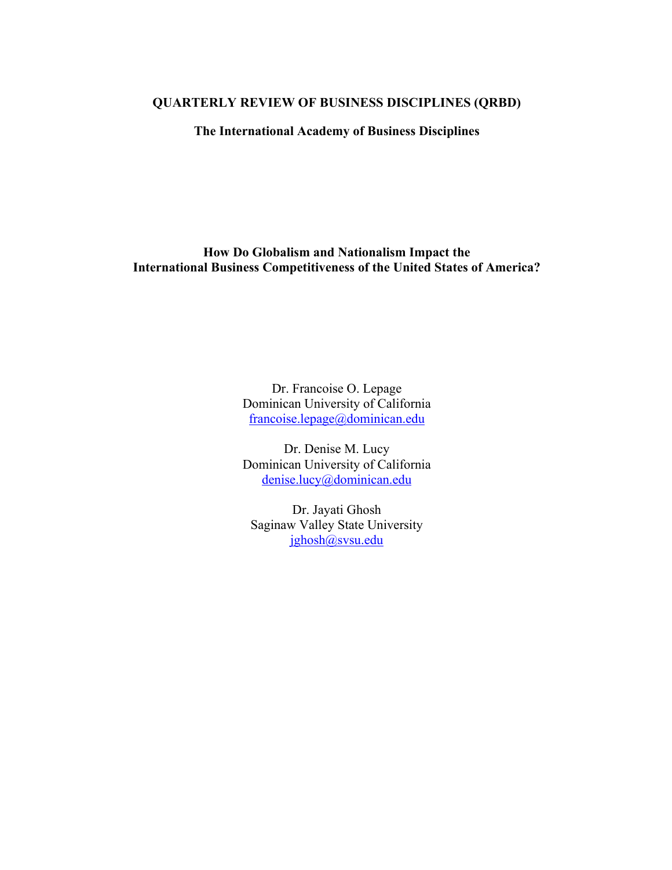#### **QUARTERLY REVIEW OF BUSINESS DISCIPLINES (QRBD)**

**The International Academy of Business Disciplines**

**How Do Globalism and Nationalism Impact the International Business Competitiveness of the United States of America?**

> Dr. Francoise O. Lepage Dominican University of California francoise.lepage@dominican.edu

> Dr. Denise M. Lucy Dominican University of California denise.lucy@dominican.edu

Dr. Jayati Ghosh Saginaw Valley State University jghosh@svsu.edu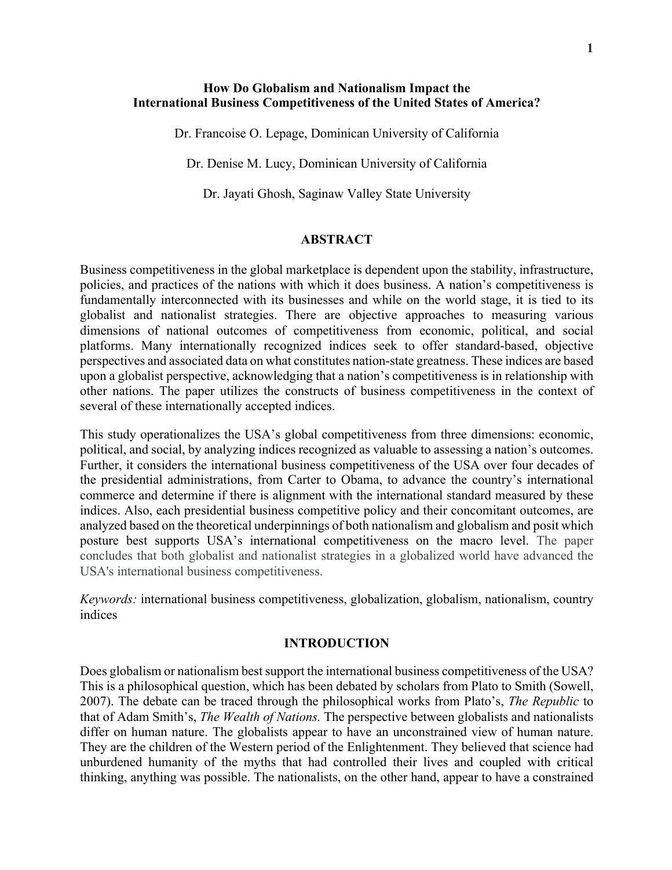### **How Do Globalism and Nationalism Impact the International Business Competitiveness of the United States of America?**

Dr. Francoise O. Lepage, Dominican University of California

Dr. Denise M. Lucy, Dominican University of California

Dr. Jayati Ghosh, Saginaw Valley State University

#### **ABSTRACT**

Business competitiveness in the global marketplace is dependent upon the stability, infrastructure, policies, and practices of the nations with which it does business. A nation's competitiveness is fundamentally interconnected with its businesses and while on the world stage, it is tied to its globalist and nationalist strategies. There are objective approaches to measuring various dimensions of national outcomes of competitiveness from economic, political, and social platforms. Many internationally recognized indices seek to offer standard-based, objective perspectives and associated data on what constitutes nation-state greatness. These indices are based upon a globalist perspective, acknowledging that a nation's competitiveness is in relationship with other nations. The paper utilizes the constructs of business competitiveness in the context of several of these internationally accepted indices.

This study operationalizes the USA's global competitiveness from three dimensions: economic, political, and social, by analyzing indices recognized as valuable to assessing a nation's outcomes. Further, it considers the international business competitiveness of the USA over four decades of the presidential administrations, from Carter to Obama, to advance the country's international commerce and determine if there is alignment with the international standard measured by these indices. Also, each presidential business competitive policy and their concomitant outcomes, are analyzed based on the theoretical underpinnings of both nationalism and globalism and posit which posture best supports USA's international competitiveness on the macro level. The paper concludes that both globalist and nationalist strategies in a globalized world have advanced the USA's international business competitiveness.

*Keywords:* international business competitiveness, globalization, globalism, nationalism, country indices

#### **INTRODUCTION**

Does globalism or nationalism best support the international business competitiveness of the USA? This is a philosophical question, which has been debated by scholars from Plato to Smith (Sowell, 2007). The debate can be traced through the philosophical works from Plato's, *The Republic* to that of Adam Smith's, *The Wealth of Nations.* The perspective between globalists and nationalists differ on human nature. The globalists appear to have an unconstrained view of human nature. They are the children of the Western period of the Enlightenment. They believed that science had unburdened humanity of the myths that had controlled their lives and coupled with critical thinking, anything was possible. The nationalists, on the other hand, appear to have a constrained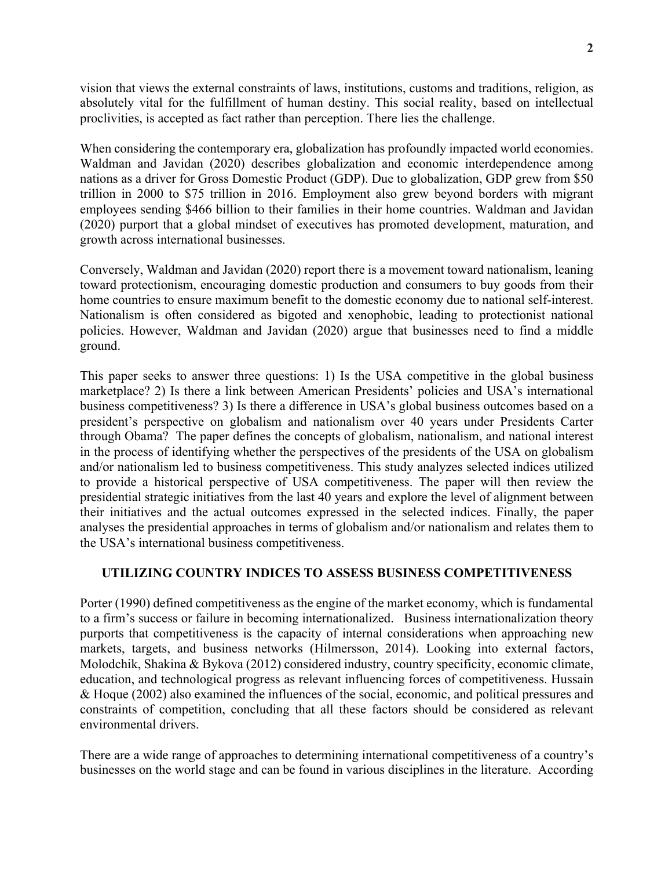vision that views the external constraints of laws, institutions, customs and traditions, religion, as absolutely vital for the fulfillment of human destiny. This social reality, based on intellectual proclivities, is accepted as fact rather than perception. There lies the challenge.

When considering the contemporary era, globalization has profoundly impacted world economies. Waldman and Javidan (2020) describes globalization and economic interdependence among nations as a driver for Gross Domestic Product (GDP). Due to globalization, GDP grew from \$50 trillion in 2000 to \$75 trillion in 2016. Employment also grew beyond borders with migrant employees sending \$466 billion to their families in their home countries. Waldman and Javidan (2020) purport that a global mindset of executives has promoted development, maturation, and growth across international businesses.

Conversely, Waldman and Javidan (2020) report there is a movement toward nationalism, leaning toward protectionism, encouraging domestic production and consumers to buy goods from their home countries to ensure maximum benefit to the domestic economy due to national self-interest. Nationalism is often considered as bigoted and xenophobic, leading to protectionist national policies. However, Waldman and Javidan (2020) argue that businesses need to find a middle ground.

This paper seeks to answer three questions: 1) Is the USA competitive in the global business marketplace? 2) Is there a link between American Presidents' policies and USA's international business competitiveness? 3) Is there a difference in USA's global business outcomes based on a president's perspective on globalism and nationalism over 40 years under Presidents Carter through Obama? The paper defines the concepts of globalism, nationalism, and national interest in the process of identifying whether the perspectives of the presidents of the USA on globalism and/or nationalism led to business competitiveness. This study analyzes selected indices utilized to provide a historical perspective of USA competitiveness. The paper will then review the presidential strategic initiatives from the last 40 years and explore the level of alignment between their initiatives and the actual outcomes expressed in the selected indices. Finally, the paper analyses the presidential approaches in terms of globalism and/or nationalism and relates them to the USA's international business competitiveness.

#### **UTILIZING COUNTRY INDICES TO ASSESS BUSINESS COMPETITIVENESS**

Porter (1990) defined competitiveness as the engine of the market economy, which is fundamental to a firm's success or failure in becoming internationalized. Business internationalization theory purports that competitiveness is the capacity of internal considerations when approaching new markets, targets, and business networks (Hilmersson, 2014). Looking into external factors, Molodchik, Shakina & Bykova (2012) considered industry, country specificity, economic climate, education, and technological progress as relevant influencing forces of competitiveness. Hussain & Hoque (2002) also examined the influences of the social, economic, and political pressures and constraints of competition, concluding that all these factors should be considered as relevant environmental drivers.

There are a wide range of approaches to determining international competitiveness of a country's businesses on the world stage and can be found in various disciplines in the literature. According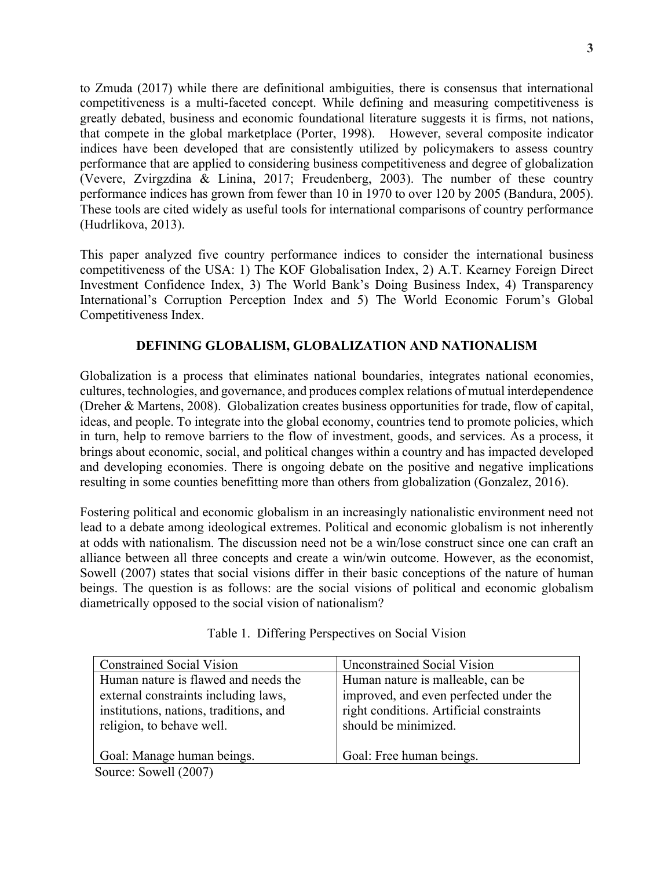to Zmuda (2017) while there are definitional ambiguities, there is consensus that international competitiveness is a multi-faceted concept. While defining and measuring competitiveness is greatly debated, business and economic foundational literature suggests it is firms, not nations, that compete in the global marketplace (Porter, 1998). However, several composite indicator indices have been developed that are consistently utilized by policymakers to assess country performance that are applied to considering business competitiveness and degree of globalization (Vevere, Zvirgzdina & Linina, 2017; Freudenberg, 2003). The number of these country performance indices has grown from fewer than 10 in 1970 to over 120 by 2005 (Bandura, 2005). These tools are cited widely as useful tools for international comparisons of country performance (Hudrlikova, 2013).

This paper analyzed five country performance indices to consider the international business competitiveness of the USA: 1) The KOF Globalisation Index, 2) A.T. Kearney Foreign Direct Investment Confidence Index, 3) The World Bank's Doing Business Index, 4) Transparency International's Corruption Perception Index and 5) The World Economic Forum's Global Competitiveness Index.

## **DEFINING GLOBALISM, GLOBALIZATION AND NATIONALISM**

Globalization is a process that eliminates national boundaries, integrates national economies, cultures, technologies, and governance, and produces complex relations of mutual interdependence (Dreher & Martens, 2008). Globalization creates business opportunities for trade, flow of capital, ideas, and people. To integrate into the global economy, countries tend to promote policies, which in turn, help to remove barriers to the flow of investment, goods, and services. As a process, it brings about economic, social, and political changes within a country and has impacted developed and developing economies. There is ongoing debate on the positive and negative implications resulting in some counties benefitting more than others from globalization (Gonzalez, 2016).

Fostering political and economic globalism in an increasingly nationalistic environment need not lead to a debate among ideological extremes. Political and economic globalism is not inherently at odds with nationalism. The discussion need not be a win/lose construct since one can craft an alliance between all three concepts and create a win/win outcome. However, as the economist, Sowell (2007) states that social visions differ in their basic conceptions of the nature of human beings. The question is as follows: are the social visions of political and economic globalism diametrically opposed to the social vision of nationalism?

| <b>Constrained Social Vision</b>       | <b>Unconstrained Social Vision</b>       |
|----------------------------------------|------------------------------------------|
| Human nature is flawed and needs the   | Human nature is malleable, can be        |
| external constraints including laws,   | improved, and even perfected under the   |
| institutions, nations, traditions, and | right conditions. Artificial constraints |
| religion, to behave well.              | should be minimized.                     |
|                                        |                                          |
| Goal: Manage human beings.             | Goal: Free human beings.                 |
| Source: Sowell (2007)                  |                                          |

Table 1. Differing Perspectives on Social Vision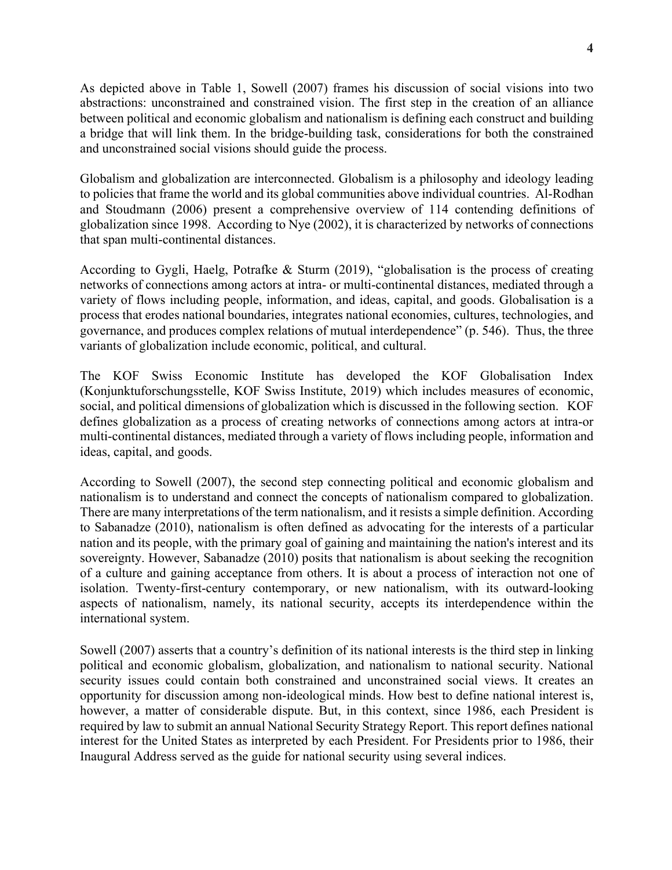As depicted above in Table 1, Sowell (2007) frames his discussion of social visions into two abstractions: unconstrained and constrained vision. The first step in the creation of an alliance between political and economic globalism and nationalism is defining each construct and building a bridge that will link them. In the bridge-building task, considerations for both the constrained and unconstrained social visions should guide the process.

Globalism and globalization are interconnected. Globalism is a philosophy and ideology leading to policies that frame the world and its global communities above individual countries. Al-Rodhan and Stoudmann (2006) present a comprehensive overview of 114 contending definitions of globalization since 1998. According to Nye (2002), it is characterized by networks of connections that span multi-continental distances.

According to Gygli, Haelg, Potrafke & Sturm (2019), "globalisation is the process of creating networks of connections among actors at intra- or multi-continental distances, mediated through a variety of flows including people, information, and ideas, capital, and goods. Globalisation is a process that erodes national boundaries, integrates national economies, cultures, technologies, and governance, and produces complex relations of mutual interdependence" (p. 546). Thus, the three variants of globalization include economic, political, and cultural.

The KOF Swiss Economic Institute has developed the KOF Globalisation Index (Konjunktuforschungsstelle, KOF Swiss Institute, 2019) which includes measures of economic, social, and political dimensions of globalization which is discussed in the following section. KOF defines globalization as a process of creating networks of connections among actors at intra-or multi-continental distances, mediated through a variety of flows including people, information and ideas, capital, and goods.

According to Sowell (2007), the second step connecting political and economic globalism and nationalism is to understand and connect the concepts of nationalism compared to globalization. There are many interpretations of the term nationalism, and it resists a simple definition. According to Sabanadze (2010), nationalism is often defined as advocating for the interests of a particular nation and its people, with the primary goal of gaining and maintaining the nation's interest and its sovereignty. However, Sabanadze (2010) posits that nationalism is about seeking the recognition of a culture and gaining acceptance from others. It is about a process of interaction not one of isolation. Twenty-first-century contemporary, or new nationalism, with its outward-looking aspects of nationalism, namely, its national security, accepts its interdependence within the international system.

Sowell (2007) asserts that a country's definition of its national interests is the third step in linking political and economic globalism, globalization, and nationalism to national security. National security issues could contain both constrained and unconstrained social views. It creates an opportunity for discussion among non-ideological minds. How best to define national interest is, however, a matter of considerable dispute. But, in this context, since 1986, each President is required by law to submit an annual National Security Strategy Report. This report defines national interest for the United States as interpreted by each President. For Presidents prior to 1986, their Inaugural Address served as the guide for national security using several indices.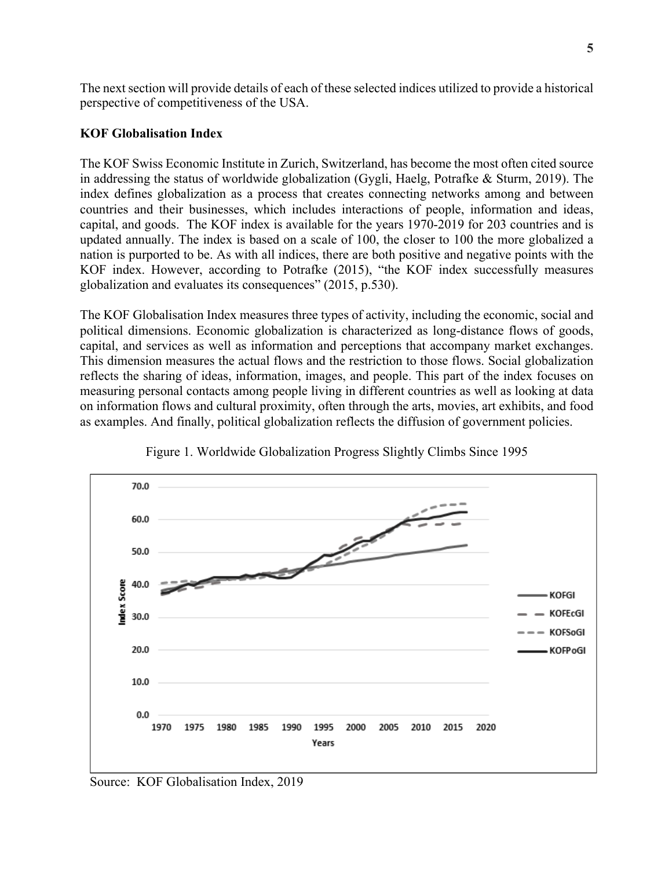The next section will provide details of each of these selected indices utilized to provide a historical perspective of competitiveness of the USA.

## **KOF Globalisation Index**

The KOF Swiss Economic Institute in Zurich, Switzerland, has become the most often cited source in addressing the status of worldwide globalization (Gygli, Haelg, Potrafke & Sturm, 2019). The index defines globalization as a process that creates connecting networks among and between countries and their businesses, which includes interactions of people, information and ideas, capital, and goods. The KOF index is available for the years 1970-2019 for 203 countries and is updated annually. The index is based on a scale of 100, the closer to 100 the more globalized a nation is purported to be. As with all indices, there are both positive and negative points with the KOF index. However, according to Potrafke (2015), "the KOF index successfully measures globalization and evaluates its consequences" (2015, p.530).

The KOF Globalisation Index measures three types of activity, including the economic, social and political dimensions. Economic globalization is characterized as long-distance flows of goods, capital, and services as well as information and perceptions that accompany market exchanges. This dimension measures the actual flows and the restriction to those flows. Social globalization reflects the sharing of ideas, information, images, and people. This part of the index focuses on measuring personal contacts among people living in different countries as well as looking at data on information flows and cultural proximity, often through the arts, movies, art exhibits, and food as examples. And finally, political globalization reflects the diffusion of government policies.



Figure 1. Worldwide Globalization Progress Slightly Climbs Since 1995

Source: KOF Globalisation Index, 2019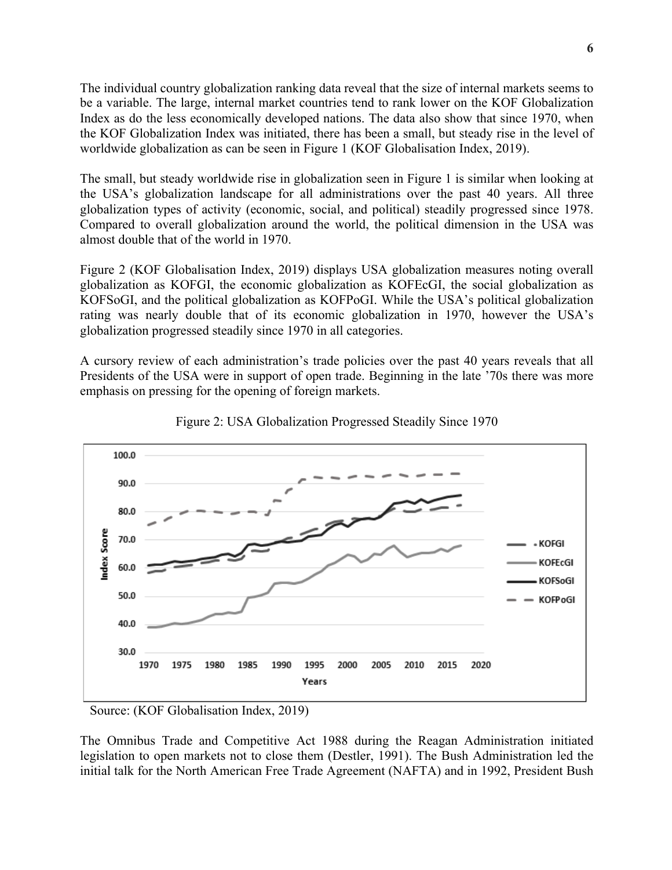The individual country globalization ranking data reveal that the size of internal markets seems to be a variable. The large, internal market countries tend to rank lower on the KOF Globalization Index as do the less economically developed nations. The data also show that since 1970, when the KOF Globalization Index was initiated, there has been a small, but steady rise in the level of worldwide globalization as can be seen in Figure 1 (KOF Globalisation Index, 2019).

The small, but steady worldwide rise in globalization seen in Figure 1 is similar when looking at the USA's globalization landscape for all administrations over the past 40 years. All three globalization types of activity (economic, social, and political) steadily progressed since 1978. Compared to overall globalization around the world, the political dimension in the USA was almost double that of the world in 1970.

Figure 2 (KOF Globalisation Index, 2019) displays USA globalization measures noting overall globalization as KOFGI, the economic globalization as KOFEcGI, the social globalization as KOFSoGI, and the political globalization as KOFPoGI. While the USA's political globalization rating was nearly double that of its economic globalization in 1970, however the USA's globalization progressed steadily since 1970 in all categories.

A cursory review of each administration's trade policies over the past 40 years reveals that all Presidents of the USA were in support of open trade. Beginning in the late '70s there was more emphasis on pressing for the opening of foreign markets.





Source: (KOF Globalisation Index, 2019)

The Omnibus Trade and Competitive Act 1988 during the Reagan Administration initiated legislation to open markets not to close them (Destler, 1991). The Bush Administration led the initial talk for the North American Free Trade Agreement (NAFTA) and in 1992, President Bush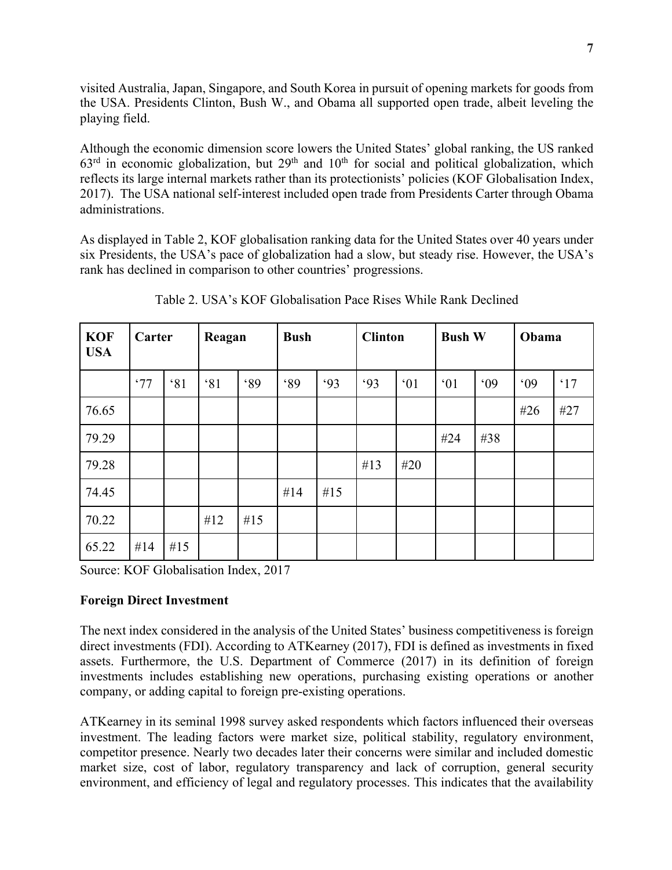visited Australia, Japan, Singapore, and South Korea in pursuit of opening markets for goods from the USA. Presidents Clinton, Bush W., and Obama all supported open trade, albeit leveling the playing field.

Although the economic dimension score lowers the United States' global ranking, the US ranked  $63<sup>rd</sup>$  in economic globalization, but  $29<sup>th</sup>$  and  $10<sup>th</sup>$  for social and political globalization, which reflects its large internal markets rather than its protectionists' policies (KOF Globalisation Index, 2017). The USA national self-interest included open trade from Presidents Carter through Obama administrations.

As displayed in Table 2, KOF globalisation ranking data for the United States over 40 years under six Presidents, the USA's pace of globalization had a slow, but steady rise. However, the USA's rank has declined in comparison to other countries' progressions.

| <b>KOF</b><br><b>USA</b> | Carter |     | Reagan |            | <b>Bush</b> |     | <b>Clinton</b> |     | <b>Bush W</b> |     | Obama |            |
|--------------------------|--------|-----|--------|------------|-------------|-----|----------------|-----|---------------|-----|-------|------------|
|                          | .77    | 81  | 81     | <b>.89</b> | <b>.89</b>  | .93 | .93            | 01  | 01            | .09 | .09   | $\cdot$ 17 |
| 76.65                    |        |     |        |            |             |     |                |     |               |     | #26   | #27        |
| 79.29                    |        |     |        |            |             |     |                |     | #24           | #38 |       |            |
| 79.28                    |        |     |        |            |             |     | #13            | #20 |               |     |       |            |
| 74.45                    |        |     |        |            | #14         | #15 |                |     |               |     |       |            |
| 70.22                    |        |     | #12    | #15        |             |     |                |     |               |     |       |            |
| 65.22                    | #14    | #15 |        |            |             |     |                |     |               |     |       |            |

Table 2. USA's KOF Globalisation Pace Rises While Rank Declined

Source: KOF Globalisation Index, 2017

## **Foreign Direct Investment**

The next index considered in the analysis of the United States' business competitiveness is foreign direct investments (FDI). According to ATKearney (2017), FDI is defined as investments in fixed assets. Furthermore, the U.S. Department of Commerce (2017) in its definition of foreign investments includes establishing new operations, purchasing existing operations or another company, or adding capital to foreign pre-existing operations.

ATKearney in its seminal 1998 survey asked respondents which factors influenced their overseas investment. The leading factors were market size, political stability, regulatory environment, competitor presence. Nearly two decades later their concerns were similar and included domestic market size, cost of labor, regulatory transparency and lack of corruption, general security environment, and efficiency of legal and regulatory processes. This indicates that the availability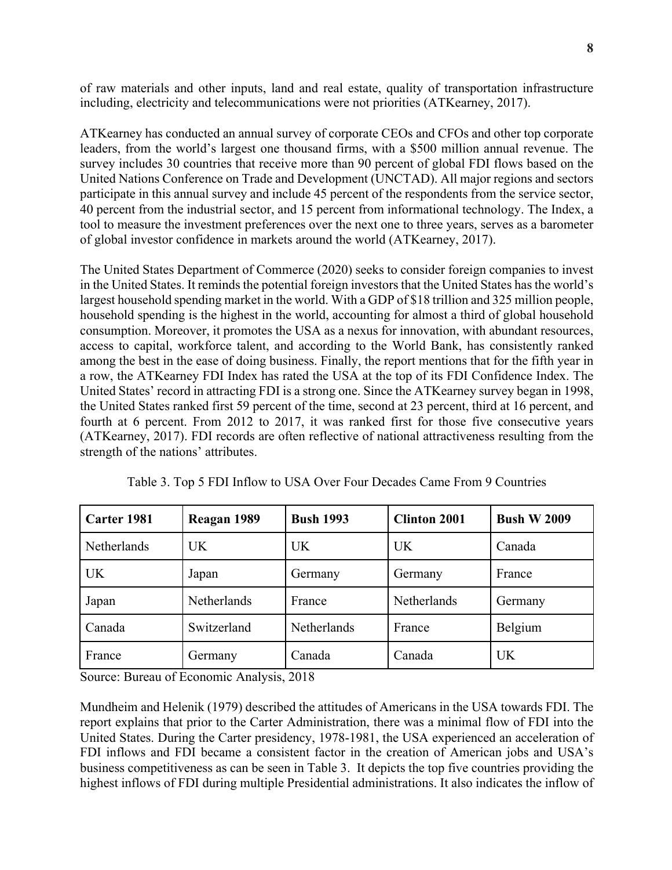of raw materials and other inputs, land and real estate, quality of transportation infrastructure including, electricity and telecommunications were not priorities (ATKearney, 2017).

ATKearney has conducted an annual survey of corporate CEOs and CFOs and other top corporate leaders, from the world's largest one thousand firms, with a \$500 million annual revenue. The survey includes 30 countries that receive more than 90 percent of global FDI flows based on the United Nations Conference on Trade and Development (UNCTAD). All major regions and sectors participate in this annual survey and include 45 percent of the respondents from the service sector, 40 percent from the industrial sector, and 15 percent from informational technology. The Index, a tool to measure the investment preferences over the next one to three years, serves as a barometer of global investor confidence in markets around the world (ATKearney, 2017).

The United States Department of Commerce (2020) seeks to consider foreign companies to invest in the United States. It reminds the potential foreign investors that the United States has the world's largest household spending market in the world. With a GDP of \$18 trillion and 325 million people, household spending is the highest in the world, accounting for almost a third of global household consumption. Moreover, it promotes the USA as a nexus for innovation, with abundant resources, access to capital, workforce talent, and according to the World Bank, has consistently ranked among the best in the ease of doing business. Finally, the report mentions that for the fifth year in a row, the ATKearney FDI Index has rated the USA at the top of its FDI Confidence Index. The United States' record in attracting FDI is a strong one. Since the ATKearney survey began in 1998, the United States ranked first 59 percent of the time, second at 23 percent, third at 16 percent, and fourth at 6 percent. From 2012 to 2017, it was ranked first for those five consecutive years (ATKearney, 2017). FDI records are often reflective of national attractiveness resulting from the strength of the nations' attributes.

| Carter 1981 | Reagan 1989 | <b>Bush 1993</b> | <b>Clinton 2001</b> | <b>Bush W 2009</b> |
|-------------|-------------|------------------|---------------------|--------------------|
| Netherlands | <b>UK</b>   | <b>UK</b>        | <b>UK</b>           | Canada             |
| <b>UK</b>   | Japan       | Germany          | Germany             | France             |
| Japan       | Netherlands | France           | Netherlands         | Germany            |
| Canada      | Switzerland | Netherlands      | France              | Belgium            |
| France      | Germany     | Canada           | Canada              | UK                 |

Table 3. Top 5 FDI Inflow to USA Over Four Decades Came From 9 Countries

Source: Bureau of Economic Analysis, 2018

Mundheim and Helenik (1979) described the attitudes of Americans in the USA towards FDI. The report explains that prior to the Carter Administration, there was a minimal flow of FDI into the United States. During the Carter presidency, 1978-1981, the USA experienced an acceleration of FDI inflows and FDI became a consistent factor in the creation of American jobs and USA's business competitiveness as can be seen in Table 3. It depicts the top five countries providing the highest inflows of FDI during multiple Presidential administrations. It also indicates the inflow of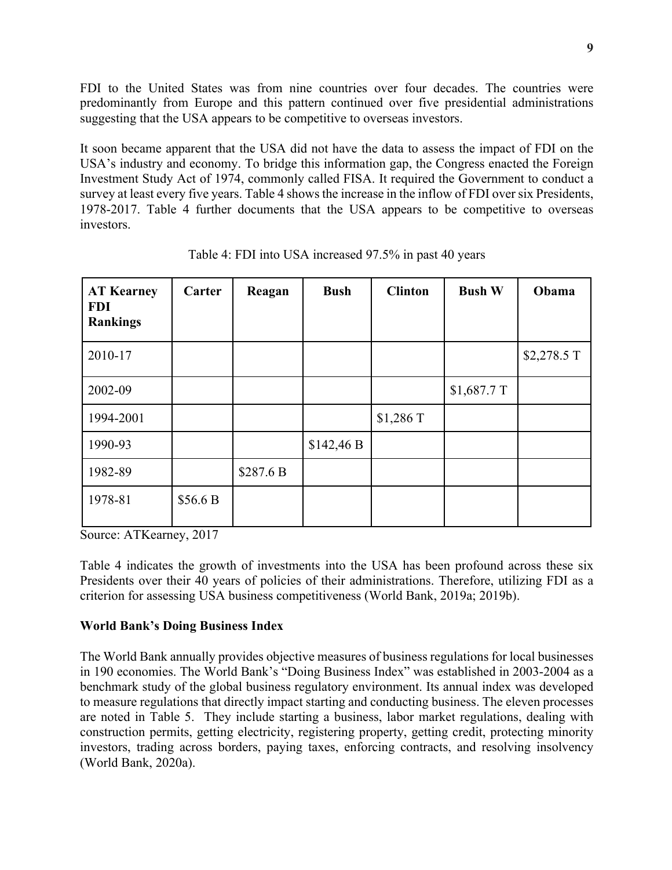FDI to the United States was from nine countries over four decades. The countries were predominantly from Europe and this pattern continued over five presidential administrations suggesting that the USA appears to be competitive to overseas investors.

It soon became apparent that the USA did not have the data to assess the impact of FDI on the USA's industry and economy. To bridge this information gap, the Congress enacted the Foreign Investment Study Act of 1974, commonly called FISA. It required the Government to conduct a survey at least every five years. Table 4 shows the increase in the inflow of FDI over six Presidents, 1978-2017. Table 4 further documents that the USA appears to be competitive to overseas investors.

| <b>AT Kearney</b><br><b>FDI</b><br><b>Rankings</b> | Carter   | Reagan    | <b>Bush</b> | <b>Clinton</b> | <b>Bush W</b> | Obama       |
|----------------------------------------------------|----------|-----------|-------------|----------------|---------------|-------------|
| 2010-17                                            |          |           |             |                |               | \$2,278.5 T |
| 2002-09                                            |          |           |             |                | $$1,687.7$ T  |             |
| 1994-2001                                          |          |           |             | \$1,286 T      |               |             |
| 1990-93                                            |          |           | \$142,46 B  |                |               |             |
| 1982-89                                            |          | \$287.6 B |             |                |               |             |
| 1978-81                                            | \$56.6 B |           |             |                |               |             |

Table 4: FDI into USA increased 97.5% in past 40 years

Source: ATKearney, 2017

Table 4 indicates the growth of investments into the USA has been profound across these six Presidents over their 40 years of policies of their administrations. Therefore, utilizing FDI as a criterion for assessing USA business competitiveness (World Bank, 2019a; 2019b).

## **World Bank's Doing Business Index**

The World Bank annually provides objective measures of business regulations for local businesses in 190 economies. The World Bank's "Doing Business Index" was established in 2003-2004 as a benchmark study of the global business regulatory environment. Its annual index was developed to measure regulations that directly impact starting and conducting business. The eleven processes are noted in Table 5. They include starting a business, labor market regulations, dealing with construction permits, getting electricity, registering property, getting credit, protecting minority investors, trading across borders, paying taxes, enforcing contracts, and resolving insolvency (World Bank, 2020a).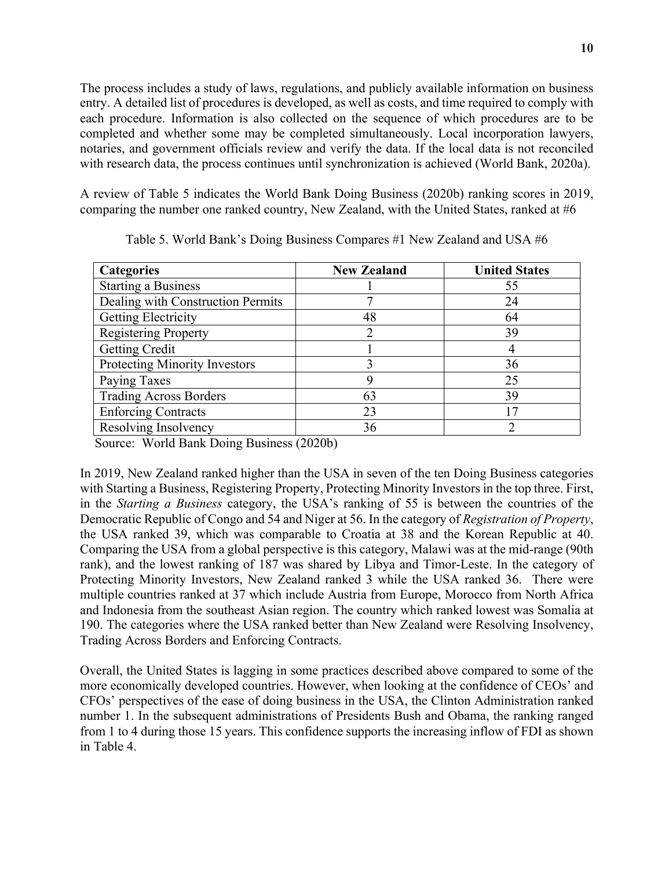The process includes a study of laws, regulations, and publicly available information on business entry. A detailed list of procedures is developed, as well as costs, and time required to comply with each procedure. Information is also collected on the sequence of which procedures are to be completed and whether some may be completed simultaneously. Local incorporation lawyers, notaries, and government officials review and verify the data. If the local data is not reconciled with research data, the process continues until synchronization is achieved (World Bank, 2020a).

A review of Table 5 indicates the World Bank Doing Business (2020b) ranking scores in 2019, comparing the number one ranked country, New Zealand, with the United States, ranked at #6

| <b>Categories</b>                 | <b>New Zealand</b> | <b>United States</b> |
|-----------------------------------|--------------------|----------------------|
| <b>Starting a Business</b>        |                    | 55                   |
| Dealing with Construction Permits |                    | 24                   |
| <b>Getting Electricity</b>        | 48                 | 64                   |
| <b>Registering Property</b>       | 2                  | 39                   |
| <b>Getting Credit</b>             |                    |                      |
| Protecting Minority Investors     | 3                  | 36                   |
| Paying Taxes                      | 9                  | 25                   |
| <b>Trading Across Borders</b>     | 63                 | 39                   |
| <b>Enforcing Contracts</b>        | 23                 | 17                   |
| Resolving Insolvency              | 36                 |                      |

Table 5. World Bank's Doing Business Compares #1 New Zealand and USA #6

Source: World Bank Doing Business (2020b)

In 2019, New Zealand ranked higher than the USA in seven of the ten Doing Business categories with Starting a Business, Registering Property, Protecting Minority Investors in the top three. First, in the *Starting a Business* category, the USA's ranking of 55 is between the countries of the Democratic Republic of Congo and 54 and Niger at 56. In the category of *Registration of Property*, the USA ranked 39, which was comparable to Croatia at 38 and the Korean Republic at 40. Comparing the USA from a global perspective is this category, Malawi was at the mid-range (90th rank), and the lowest ranking of 187 was shared by Libya and Timor-Leste. In the category of Protecting Minority Investors, New Zealand ranked 3 while the USA ranked 36. There were multiple countries ranked at 37 which include Austria from Europe, Morocco from North Africa and Indonesia from the southeast Asian region. The country which ranked lowest was Somalia at 190. The categories where the USA ranked better than New Zealand were Resolving Insolvency, Trading Across Borders and Enforcing Contracts.

Overall, the United States is lagging in some practices described above compared to some of the more economically developed countries. However, when looking at the confidence of CEOs' and CFOs' perspectives of the ease of doing business in the USA, the Clinton Administration ranked number 1. In the subsequent administrations of Presidents Bush and Obama, the ranking ranged from 1 to 4 during those 15 years. This confidence supports the increasing inflow of FDI as shown in Table 4.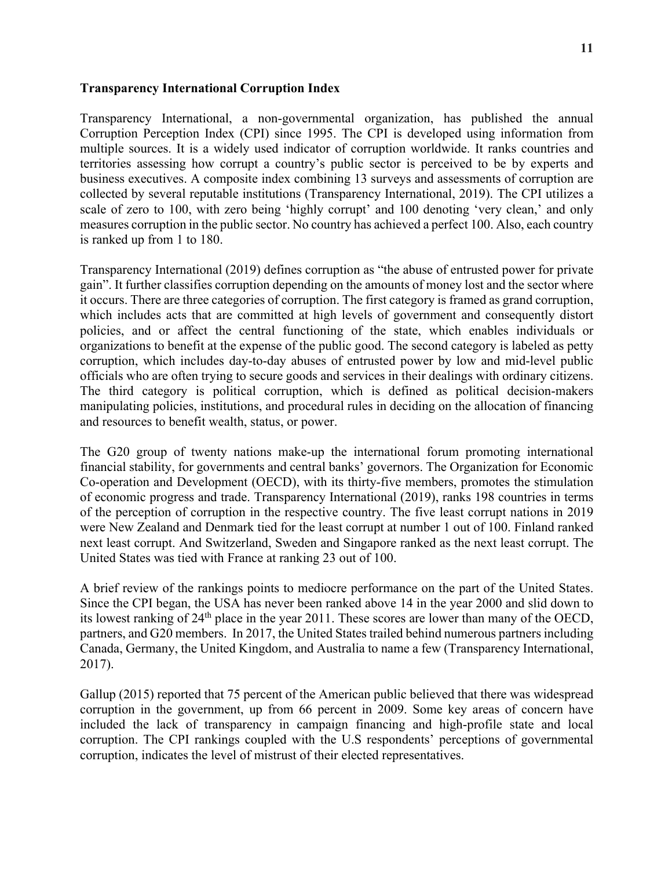## **Transparency International Corruption Index**

Transparency International, a non-governmental organization, has published the annual Corruption Perception Index (CPI) since 1995. The CPI is developed using information from multiple sources. It is a widely used indicator of corruption worldwide. It ranks countries and territories assessing how corrupt a country's public sector is perceived to be by experts and business executives. A composite index combining 13 surveys and assessments of corruption are collected by several reputable institutions (Transparency International, 2019). The CPI utilizes a scale of zero to 100, with zero being 'highly corrupt' and 100 denoting 'very clean,' and only measures corruption in the public sector. No country has achieved a perfect 100. Also, each country is ranked up from 1 to 180.

Transparency International (2019) defines corruption as "the abuse of entrusted power for private gain". It further classifies corruption depending on the amounts of money lost and the sector where it occurs. There are three categories of corruption. The first category is framed as grand corruption, which includes acts that are committed at high levels of government and consequently distort policies, and or affect the central functioning of the state, which enables individuals or organizations to benefit at the expense of the public good. The second category is labeled as petty corruption, which includes day-to-day abuses of entrusted power by low and mid-level public officials who are often trying to secure goods and services in their dealings with ordinary citizens. The third category is political corruption, which is defined as political decision-makers manipulating policies, institutions, and procedural rules in deciding on the allocation of financing and resources to benefit wealth, status, or power.

The G20 group of twenty nations make-up the international forum promoting international financial stability, for governments and central banks' governors. The Organization for Economic Co-operation and Development (OECD), with its thirty-five members, promotes the stimulation of economic progress and trade. Transparency International (2019), ranks 198 countries in terms of the perception of corruption in the respective country. The five least corrupt nations in 2019 were New Zealand and Denmark tied for the least corrupt at number 1 out of 100. Finland ranked next least corrupt. And Switzerland, Sweden and Singapore ranked as the next least corrupt. The United States was tied with France at ranking 23 out of 100.

A brief review of the rankings points to mediocre performance on the part of the United States. Since the CPI began, the USA has never been ranked above 14 in the year 2000 and slid down to its lowest ranking of 24th place in the year 2011. These scores are lower than many of the OECD, partners, and G20 members. In 2017, the United States trailed behind numerous partners including Canada, Germany, the United Kingdom, and Australia to name a few (Transparency International, 2017).

Gallup (2015) reported that 75 percent of the American public believed that there was widespread corruption in the government, up from 66 percent in 2009. Some key areas of concern have included the lack of transparency in campaign financing and high-profile state and local corruption. The CPI rankings coupled with the U.S respondents' perceptions of governmental corruption, indicates the level of mistrust of their elected representatives.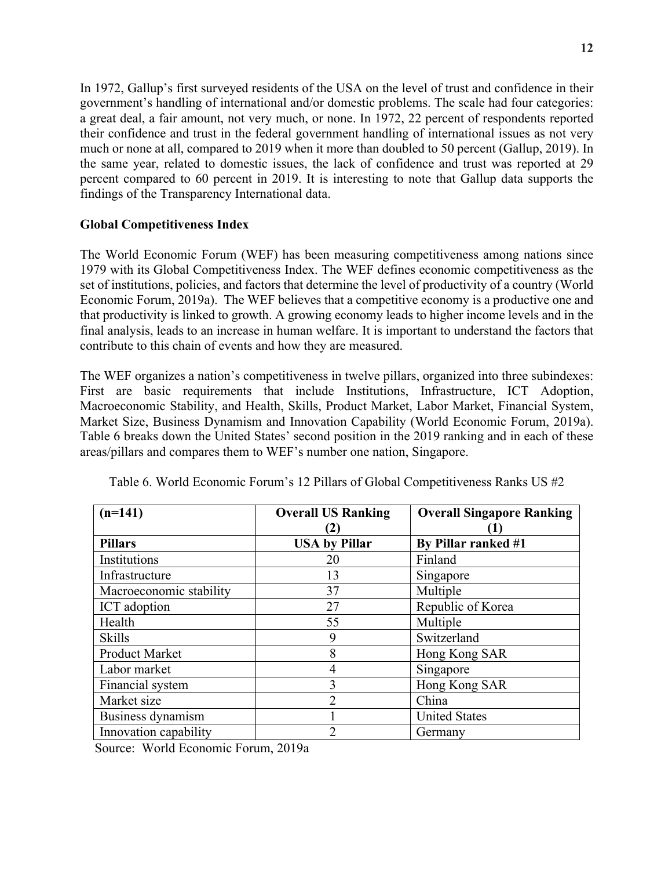In 1972, Gallup's first surveyed residents of the USA on the level of trust and confidence in their government's handling of international and/or domestic problems. The scale had four categories: a great deal, a fair amount, not very much, or none. In 1972, 22 percent of respondents reported their confidence and trust in the federal government handling of international issues as not very much or none at all, compared to 2019 when it more than doubled to 50 percent (Gallup, 2019). In the same year, related to domestic issues, the lack of confidence and trust was reported at 29 percent compared to 60 percent in 2019. It is interesting to note that Gallup data supports the findings of the Transparency International data.

## **Global Competitiveness Index**

The World Economic Forum (WEF) has been measuring competitiveness among nations since 1979 with its Global Competitiveness Index. The WEF defines economic competitiveness as the set of institutions, policies, and factors that determine the level of productivity of a country (World Economic Forum, 2019a). The WEF believes that a competitive economy is a productive one and that productivity is linked to growth. A growing economy leads to higher income levels and in the final analysis, leads to an increase in human welfare. It is important to understand the factors that contribute to this chain of events and how they are measured.

The WEF organizes a nation's competitiveness in twelve pillars, organized into three subindexes: First are basic requirements that include Institutions, Infrastructure, ICT Adoption, Macroeconomic Stability, and Health, Skills, Product Market, Labor Market, Financial System, Market Size, Business Dynamism and Innovation Capability (World Economic Forum, 2019a). Table 6 breaks down the United States' second position in the 2019 ranking and in each of these areas/pillars and compares them to WEF's number one nation, Singapore.

| $(n=141)$               | <b>Overall US Ranking</b> | <b>Overall Singapore Ranking</b> |
|-------------------------|---------------------------|----------------------------------|
|                         |                           |                                  |
| <b>Pillars</b>          | <b>USA by Pillar</b>      | By Pillar ranked #1              |
| Institutions            | 20                        | Finland                          |
| Infrastructure          | 13                        | Singapore                        |
| Macroeconomic stability | 37                        | Multiple                         |
| ICT adoption            | 27                        | Republic of Korea                |
| Health                  | 55                        | Multiple                         |
| <b>Skills</b>           | 9                         | Switzerland                      |
| <b>Product Market</b>   | 8                         | Hong Kong SAR                    |
| Labor market            | 4                         | Singapore                        |
| Financial system        | 3                         | Hong Kong SAR                    |
| Market size             | 2                         | China                            |
| Business dynamism       |                           | <b>United States</b>             |
| Innovation capability   | 2                         | Germany                          |

Table 6. World Economic Forum's 12 Pillars of Global Competitiveness Ranks US #2

Source: World Economic Forum, 2019a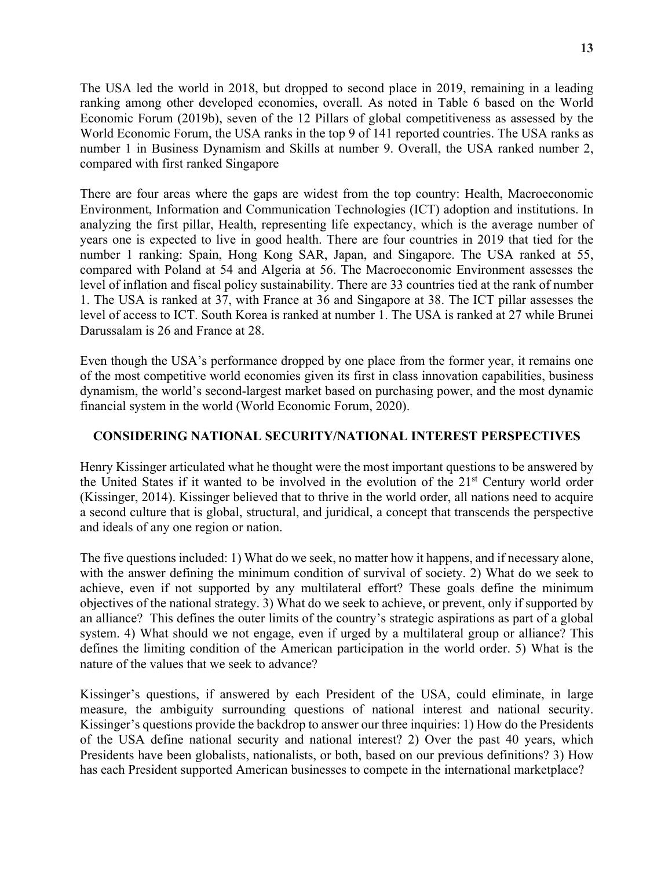The USA led the world in 2018, but dropped to second place in 2019, remaining in a leading ranking among other developed economies, overall. As noted in Table 6 based on the World Economic Forum (2019b), seven of the 12 Pillars of global competitiveness as assessed by the World Economic Forum, the USA ranks in the top 9 of 141 reported countries. The USA ranks as number 1 in Business Dynamism and Skills at number 9. Overall, the USA ranked number 2, compared with first ranked Singapore

There are four areas where the gaps are widest from the top country: Health, Macroeconomic Environment, Information and Communication Technologies (ICT) adoption and institutions. In analyzing the first pillar, Health, representing life expectancy, which is the average number of years one is expected to live in good health. There are four countries in 2019 that tied for the number 1 ranking: Spain, Hong Kong SAR, Japan, and Singapore. The USA ranked at 55, compared with Poland at 54 and Algeria at 56. The Macroeconomic Environment assesses the level of inflation and fiscal policy sustainability. There are 33 countries tied at the rank of number 1. The USA is ranked at 37, with France at 36 and Singapore at 38. The ICT pillar assesses the level of access to ICT. South Korea is ranked at number 1. The USA is ranked at 27 while Brunei Darussalam is 26 and France at 28.

Even though the USA's performance dropped by one place from the former year, it remains one of the most competitive world economies given its first in class innovation capabilities, business dynamism, the world's second-largest market based on purchasing power, and the most dynamic financial system in the world (World Economic Forum, 2020).

### **CONSIDERING NATIONAL SECURITY/NATIONAL INTEREST PERSPECTIVES**

Henry Kissinger articulated what he thought were the most important questions to be answered by the United States if it wanted to be involved in the evolution of the 21st Century world order (Kissinger, 2014). Kissinger believed that to thrive in the world order, all nations need to acquire a second culture that is global, structural, and juridical, a concept that transcends the perspective and ideals of any one region or nation.

The five questions included: 1) What do we seek, no matter how it happens, and if necessary alone, with the answer defining the minimum condition of survival of society. 2) What do we seek to achieve, even if not supported by any multilateral effort? These goals define the minimum objectives of the national strategy. 3) What do we seek to achieve, or prevent, only if supported by an alliance? This defines the outer limits of the country's strategic aspirations as part of a global system. 4) What should we not engage, even if urged by a multilateral group or alliance? This defines the limiting condition of the American participation in the world order. 5) What is the nature of the values that we seek to advance?

Kissinger's questions, if answered by each President of the USA, could eliminate, in large measure, the ambiguity surrounding questions of national interest and national security. Kissinger's questions provide the backdrop to answer our three inquiries: 1) How do the Presidents of the USA define national security and national interest? 2) Over the past 40 years, which Presidents have been globalists, nationalists, or both, based on our previous definitions? 3) How has each President supported American businesses to compete in the international marketplace?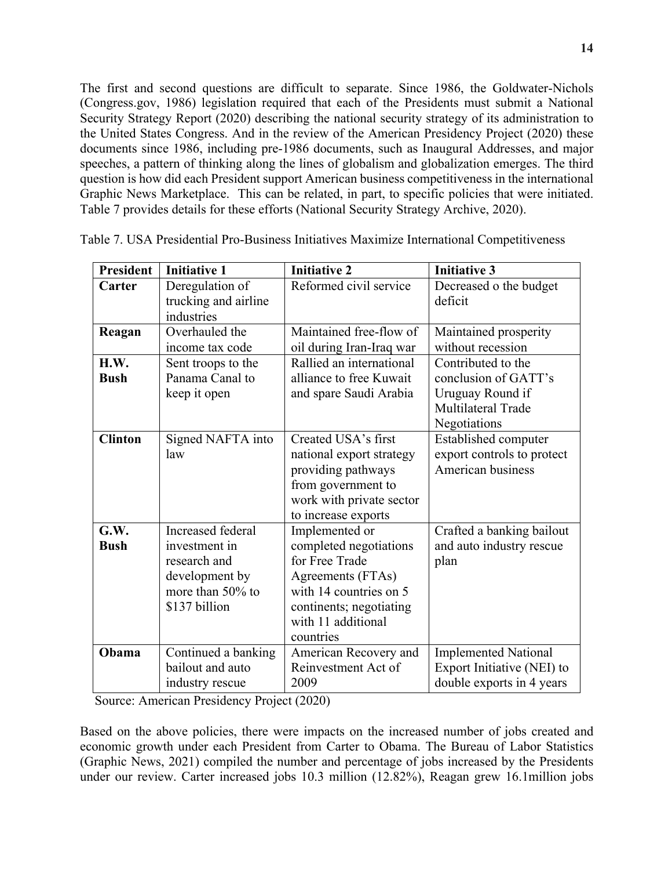The first and second questions are difficult to separate. Since 1986, the Goldwater-Nichols (Congress.gov, 1986) legislation required that each of the Presidents must submit a National Security Strategy Report (2020) describing the national security strategy of its administration to the United States Congress. And in the review of the American Presidency Project (2020) these documents since 1986, including pre-1986 documents, such as Inaugural Addresses, and major speeches, a pattern of thinking along the lines of globalism and globalization emerges. The third question is how did each President support American business competitiveness in the international Graphic News Marketplace. This can be related, in part, to specific policies that were initiated. Table 7 provides details for these efforts (National Security Strategy Archive, 2020).

| <b>President</b>    | <b>Initiative 1</b>                                                                                          | <b>Initiative 2</b>                                                                                                                                                     | <b>Initiative 3</b>                                                                                  |
|---------------------|--------------------------------------------------------------------------------------------------------------|-------------------------------------------------------------------------------------------------------------------------------------------------------------------------|------------------------------------------------------------------------------------------------------|
| Carter              | Deregulation of<br>trucking and airline<br>industries                                                        | Reformed civil service                                                                                                                                                  | Decreased o the budget<br>deficit                                                                    |
| Reagan              | Overhauled the<br>income tax code                                                                            | Maintained free-flow of<br>oil during Iran-Iraq war                                                                                                                     | Maintained prosperity<br>without recession                                                           |
| H.W.<br><b>Bush</b> | Sent troops to the<br>Panama Canal to<br>keep it open                                                        | Rallied an international<br>alliance to free Kuwait<br>and spare Saudi Arabia                                                                                           | Contributed to the<br>conclusion of GATT's<br>Uruguay Round if<br>Multilateral Trade<br>Negotiations |
| <b>Clinton</b>      | Signed NAFTA into<br>law                                                                                     | Created USA's first<br>national export strategy<br>providing pathways<br>from government to<br>work with private sector<br>to increase exports                          | Established computer<br>export controls to protect<br>American business                              |
| G.W.<br><b>Bush</b> | Increased federal<br>investment in<br>research and<br>development by<br>more than $50\%$ to<br>\$137 billion | Implemented or<br>completed negotiations<br>for Free Trade<br>Agreements (FTAs)<br>with 14 countries on 5<br>continents; negotiating<br>with 11 additional<br>countries | Crafted a banking bailout<br>and auto industry rescue<br>plan                                        |
| Obama               | Continued a banking<br>bailout and auto<br>industry rescue                                                   | American Recovery and<br>Reinvestment Act of<br>2009                                                                                                                    | <b>Implemented National</b><br>Export Initiative (NEI) to<br>double exports in 4 years               |

| Table 7. USA Presidential Pro-Business Initiatives Maximize International Competitiveness |
|-------------------------------------------------------------------------------------------|
|-------------------------------------------------------------------------------------------|

Source: American Presidency Project (2020)

Based on the above policies, there were impacts on the increased number of jobs created and economic growth under each President from Carter to Obama. The Bureau of Labor Statistics (Graphic News, 2021) compiled the number and percentage of jobs increased by the Presidents under our review. Carter increased jobs 10.3 million (12.82%), Reagan grew 16.1million jobs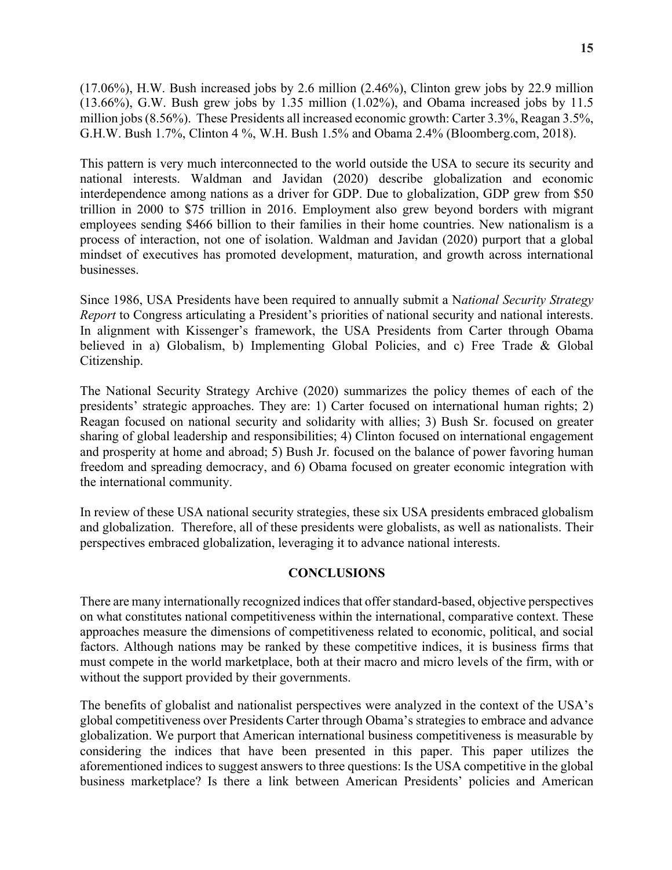(17.06%), H.W. Bush increased jobs by 2.6 million (2.46%), Clinton grew jobs by 22.9 million (13.66%), G.W. Bush grew jobs by 1.35 million (1.02%), and Obama increased jobs by 11.5 million jobs (8.56%). These Presidents all increased economic growth: Carter 3.3%, Reagan 3.5%, G.H.W. Bush 1.7%, Clinton 4 %, W.H. Bush 1.5% and Obama 2.4% (Bloomberg.com, 2018).

This pattern is very much interconnected to the world outside the USA to secure its security and national interests. Waldman and Javidan (2020) describe globalization and economic interdependence among nations as a driver for GDP. Due to globalization, GDP grew from \$50 trillion in 2000 to \$75 trillion in 2016. Employment also grew beyond borders with migrant employees sending \$466 billion to their families in their home countries. New nationalism is a process of interaction, not one of isolation. Waldman and Javidan (2020) purport that a global mindset of executives has promoted development, maturation, and growth across international businesses.

Since 1986, USA Presidents have been required to annually submit a N*ational Security Strategy Report* to Congress articulating a President's priorities of national security and national interests. In alignment with Kissenger's framework, the USA Presidents from Carter through Obama believed in a) Globalism, b) Implementing Global Policies, and c) Free Trade & Global Citizenship.

The National Security Strategy Archive (2020) summarizes the policy themes of each of the presidents' strategic approaches. They are: 1) Carter focused on international human rights; 2) Reagan focused on national security and solidarity with allies; 3) Bush Sr. focused on greater sharing of global leadership and responsibilities; 4) Clinton focused on international engagement and prosperity at home and abroad; 5) Bush Jr. focused on the balance of power favoring human freedom and spreading democracy, and 6) Obama focused on greater economic integration with the international community.

In review of these USA national security strategies, these six USA presidents embraced globalism and globalization. Therefore, all of these presidents were globalists, as well as nationalists. Their perspectives embraced globalization, leveraging it to advance national interests.

#### **CONCLUSIONS**

There are many internationally recognized indices that offer standard-based, objective perspectives on what constitutes national competitiveness within the international, comparative context. These approaches measure the dimensions of competitiveness related to economic, political, and social factors. Although nations may be ranked by these competitive indices, it is business firms that must compete in the world marketplace, both at their macro and micro levels of the firm, with or without the support provided by their governments.

The benefits of globalist and nationalist perspectives were analyzed in the context of the USA's global competitiveness over Presidents Carter through Obama's strategies to embrace and advance globalization. We purport that American international business competitiveness is measurable by considering the indices that have been presented in this paper. This paper utilizes the aforementioned indices to suggest answers to three questions: Is the USA competitive in the global business marketplace? Is there a link between American Presidents' policies and American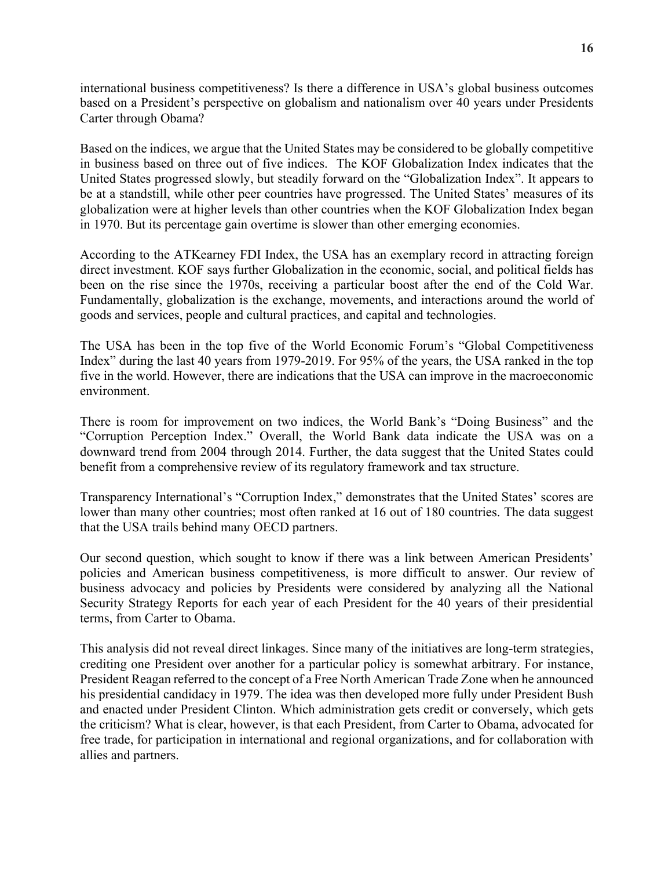international business competitiveness? Is there a difference in USA's global business outcomes based on a President's perspective on globalism and nationalism over 40 years under Presidents Carter through Obama?

Based on the indices, we argue that the United States may be considered to be globally competitive in business based on three out of five indices. The KOF Globalization Index indicates that the United States progressed slowly, but steadily forward on the "Globalization Index". It appears to be at a standstill, while other peer countries have progressed. The United States' measures of its globalization were at higher levels than other countries when the KOF Globalization Index began in 1970. But its percentage gain overtime is slower than other emerging economies.

According to the ATKearney FDI Index, the USA has an exemplary record in attracting foreign direct investment. KOF says further Globalization in the economic, social, and political fields has been on the rise since the 1970s, receiving a particular boost after the end of the Cold War. Fundamentally, globalization is the exchange, movements, and interactions around the world of goods and services, people and cultural practices, and capital and technologies.

The USA has been in the top five of the World Economic Forum's "Global Competitiveness Index" during the last 40 years from 1979-2019. For 95% of the years, the USA ranked in the top five in the world. However, there are indications that the USA can improve in the macroeconomic environment.

There is room for improvement on two indices, the World Bank's "Doing Business" and the "Corruption Perception Index." Overall, the World Bank data indicate the USA was on a downward trend from 2004 through 2014. Further, the data suggest that the United States could benefit from a comprehensive review of its regulatory framework and tax structure.

Transparency International's "Corruption Index," demonstrates that the United States' scores are lower than many other countries; most often ranked at 16 out of 180 countries. The data suggest that the USA trails behind many OECD partners.

Our second question, which sought to know if there was a link between American Presidents' policies and American business competitiveness, is more difficult to answer. Our review of business advocacy and policies by Presidents were considered by analyzing all the National Security Strategy Reports for each year of each President for the 40 years of their presidential terms, from Carter to Obama.

This analysis did not reveal direct linkages. Since many of the initiatives are long-term strategies, crediting one President over another for a particular policy is somewhat arbitrary. For instance, President Reagan referred to the concept of a Free North American Trade Zone when he announced his presidential candidacy in 1979. The idea was then developed more fully under President Bush and enacted under President Clinton. Which administration gets credit or conversely, which gets the criticism? What is clear, however, is that each President, from Carter to Obama, advocated for free trade, for participation in international and regional organizations, and for collaboration with allies and partners.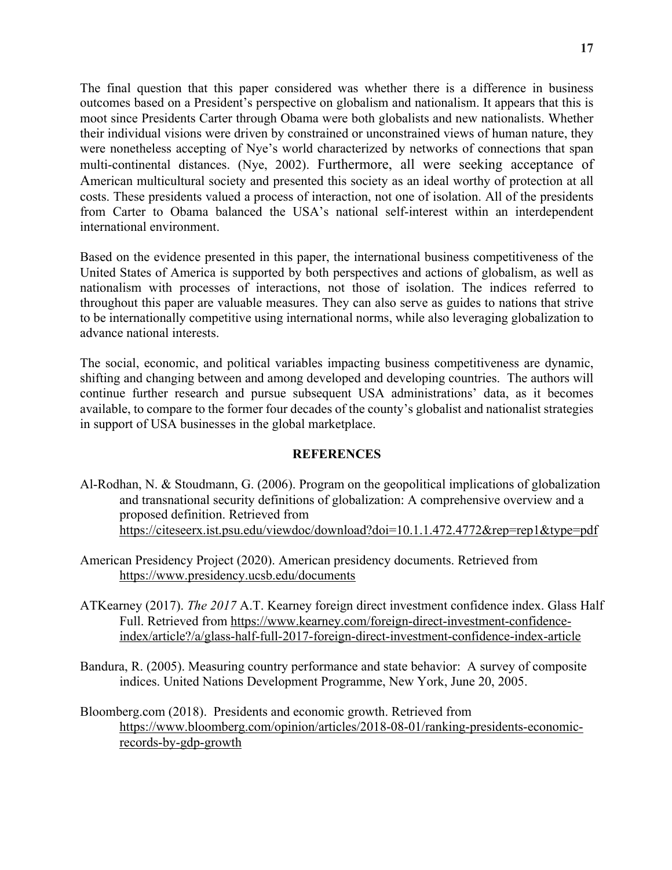The final question that this paper considered was whether there is a difference in business outcomes based on a President's perspective on globalism and nationalism. It appears that this is moot since Presidents Carter through Obama were both globalists and new nationalists. Whether their individual visions were driven by constrained or unconstrained views of human nature, they were nonetheless accepting of Nye's world characterized by networks of connections that span multi-continental distances. (Nye, 2002). Furthermore, all were seeking acceptance of American multicultural society and presented this society as an ideal worthy of protection at all costs. These presidents valued a process of interaction, not one of isolation. All of the presidents from Carter to Obama balanced the USA's national self-interest within an interdependent international environment.

Based on the evidence presented in this paper, the international business competitiveness of the United States of America is supported by both perspectives and actions of globalism, as well as nationalism with processes of interactions, not those of isolation. The indices referred to throughout this paper are valuable measures. They can also serve as guides to nations that strive to be internationally competitive using international norms, while also leveraging globalization to advance national interests.

The social, economic, and political variables impacting business competitiveness are dynamic, shifting and changing between and among developed and developing countries. The authors will continue further research and pursue subsequent USA administrations' data, as it becomes available, to compare to the former four decades of the county's globalist and nationalist strategies in support of USA businesses in the global marketplace.

#### **REFERENCES**

- Al-Rodhan, N. & Stoudmann, G. (2006). Program on the geopolitical implications of globalization and transnational security definitions of globalization: A comprehensive overview and a proposed definition. Retrieved from https://citeseerx.ist.psu.edu/viewdoc/download?doi=10.1.1.472.4772&rep=rep1&type=pdf
- American Presidency Project (2020). American presidency documents. Retrieved from https://www.presidency.ucsb.edu/documents
- ATKearney (2017). *The 2017* A.T. Kearney foreign direct investment confidence index. Glass Half Full. Retrieved from https://www.kearney.com/foreign-direct-investment-confidenceindex/article?/a/glass-half-full-2017-foreign-direct-investment-confidence-index-article
- Bandura, R. (2005). Measuring country performance and state behavior: A survey of composite indices. United Nations Development Programme, New York, June 20, 2005.
- Bloomberg.com (2018). Presidents and economic growth. Retrieved from https://www.bloomberg.com/opinion/articles/2018-08-01/ranking-presidents-economicrecords-by-gdp-growth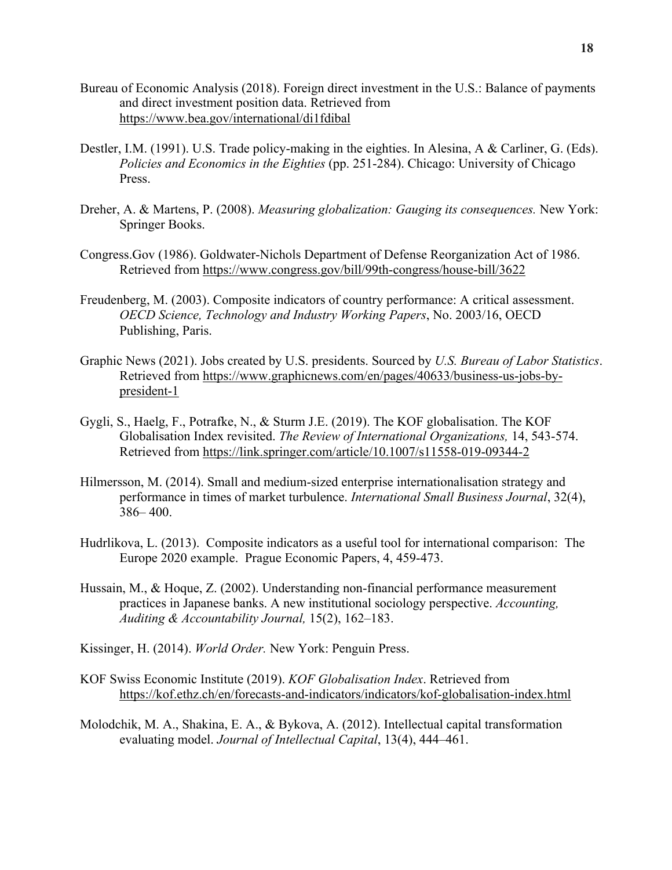- Bureau of Economic Analysis (2018). Foreign direct investment in the U.S.: Balance of payments and direct investment position data. Retrieved from https://www.bea.gov/international/di1fdibal
- Destler, I.M. (1991). U.S. Trade policy-making in the eighties. In Alesina, A & Carliner, G. (Eds). *Policies and Economics in the Eighties* (pp. 251-284). Chicago: University of Chicago Press.
- Dreher, A. & Martens, P. (2008). *Measuring globalization: Gauging its consequences.* New York: Springer Books.
- Congress.Gov (1986). Goldwater-Nichols Department of Defense Reorganization Act of 1986. Retrieved from https://www.congress.gov/bill/99th-congress/house-bill/3622
- Freudenberg, M. (2003). Composite indicators of country performance: A critical assessment. *OECD Science, Technology and Industry Working Papers*, No. 2003/16, OECD Publishing, Paris.
- Graphic News (2021). Jobs created by U.S. presidents. Sourced by *U.S. Bureau of Labor Statistics*. Retrieved from https://www.graphicnews.com/en/pages/40633/business-us-jobs-bypresident-1
- Gygli, S., Haelg, F., Potrafke, N., & Sturm J.E. (2019). The KOF globalisation. The KOF Globalisation Index revisited. *The Review of International Organizations,* 14, 543-574. Retrieved from https://link.springer.com/article/10.1007/s11558-019-09344-2
- Hilmersson, M. (2014). Small and medium-sized enterprise internationalisation strategy and performance in times of market turbulence. *International Small Business Journal*, 32(4), 386– 400.
- Hudrlikova, L. (2013). Composite indicators as a useful tool for international comparison: The Europe 2020 example. Prague Economic Papers, 4, 459-473.
- Hussain, M., & Hoque, Z. (2002). Understanding non-financial performance measurement practices in Japanese banks. A new institutional sociology perspective. *Accounting, Auditing & Accountability Journal,* 15(2), 162–183.
- Kissinger, H. (2014). *World Order.* New York: Penguin Press.
- KOF Swiss Economic Institute (2019). *KOF Globalisation Index*. Retrieved from https://kof.ethz.ch/en/forecasts-and-indicators/indicators/kof-globalisation-index.html
- Molodchik, M. A., Shakina, E. A., & Bykova, A. (2012). Intellectual capital transformation evaluating model. *Journal of Intellectual Capital*, 13(4), 444–461.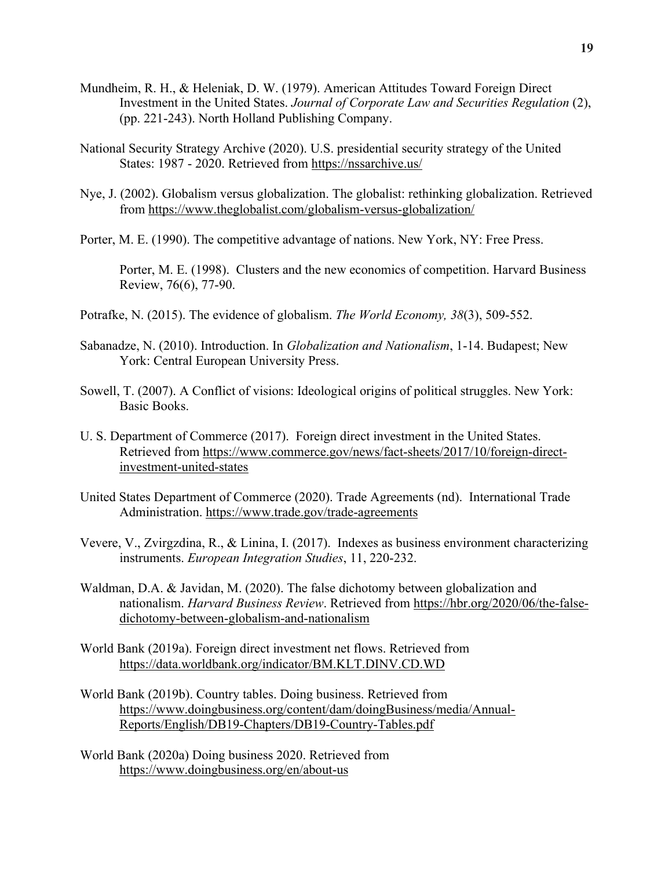- Mundheim, R. H., & Heleniak, D. W. (1979). American Attitudes Toward Foreign Direct Investment in the United States. *Journal of Corporate Law and Securities Regulation* (2), (pp. 221-243). North Holland Publishing Company.
- National Security Strategy Archive (2020). U.S. presidential security strategy of the United States: 1987 - 2020. Retrieved from https://nssarchive.us/
- Nye, J. (2002). Globalism versus globalization. The globalist: rethinking globalization. Retrieved from https://www.theglobalist.com/globalism-versus-globalization/
- Porter, M. E. (1990). The competitive advantage of nations. New York, NY: Free Press.

Porter, M. E. (1998). Clusters and the new economics of competition. Harvard Business Review, 76(6), 77-90.

- Potrafke, N. (2015). The evidence of globalism. *The World Economy, 38*(3), 509-552.
- Sabanadze, N. (2010). Introduction. In *Globalization and Nationalism*, 1-14. Budapest; New York: Central European University Press.
- Sowell, T. (2007). A Conflict of visions: Ideological origins of political struggles. New York: Basic Books.
- U. S. Department of Commerce (2017). Foreign direct investment in the United States. Retrieved from https://www.commerce.gov/news/fact-sheets/2017/10/foreign-directinvestment-united-states
- United States Department of Commerce (2020). Trade Agreements (nd). International Trade Administration. https://www.trade.gov/trade-agreements
- Vevere, V., Zvirgzdina, R., & Linina, I. (2017). Indexes as business environment characterizing instruments. *European Integration Studies*, 11, 220-232.
- Waldman, D.A. & Javidan, M. (2020). The false dichotomy between globalization and nationalism. *Harvard Business Review*. Retrieved from https://hbr.org/2020/06/the-falsedichotomy-between-globalism-and-nationalism
- World Bank (2019a). Foreign direct investment net flows. Retrieved from https://data.worldbank.org/indicator/BM.KLT.DINV.CD.WD
- World Bank (2019b). Country tables. Doing business. Retrieved from https://www.doingbusiness.org/content/dam/doingBusiness/media/Annual-Reports/English/DB19-Chapters/DB19-Country-Tables.pdf
- World Bank (2020a) Doing business 2020. Retrieved from https://www.doingbusiness.org/en/about-us